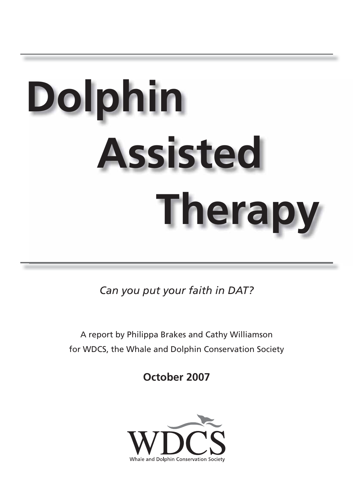# **Dolphin Assisted Therapy**

*Can you put your faith in DAT?* 

A report by Philippa Brakes and Cathy Williamson for WDCS, the Whale and Dolphin Conservation Society

**October 2007**

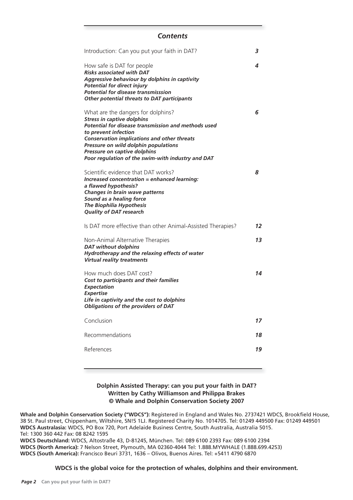# *Contents*

| Introduction: Can you put your faith in DAT?                                                                                                                                                                                                                                                                                              | 3  |
|-------------------------------------------------------------------------------------------------------------------------------------------------------------------------------------------------------------------------------------------------------------------------------------------------------------------------------------------|----|
| How safe is DAT for people<br><b>Risks associated with DAT</b><br>Aggressive behaviour by dolphins in captivity<br><b>Potential for direct injury</b><br><b>Potential for disease transmisssion</b><br><b>Other potential threats to DAT participants</b>                                                                                 | 4  |
| What are the dangers for dolphins?<br><b>Stress in captive dolphins</b><br>Potential for disease transmission and methods used<br>to prevent infection<br><b>Conservation implications and other threats</b><br>Pressure on wild dolphin populations<br>Pressure on captive dolphins<br>Poor regulation of the swim-with industry and DAT | 6  |
| Scientific evidence that DAT works?<br>Increased concentration = enhanced learning:<br>a flawed hypothesis?<br>Changes in brain wave patterns<br>Sound as a healing force<br><b>The Biophilia Hypothesis</b><br><b>Quality of DAT research</b>                                                                                            | 8  |
| Is DAT more effective than other Animal-Assisted Therapies?                                                                                                                                                                                                                                                                               | 12 |
| Non-Animal Alternative Therapies<br><b>DAT without dolphins</b><br>Hydrotherapy and the relaxing effects of water<br><b>Virtual reality treatments</b>                                                                                                                                                                                    | 13 |
| How much does DAT cost?<br>Cost to participants and their families<br><b>Expectation</b><br><b>Expertise</b><br>Life in captivity and the cost to dolphins<br><b>Obligations of the providers of DAT</b>                                                                                                                                  | 14 |
| Conclusion                                                                                                                                                                                                                                                                                                                                | 17 |
| Recommendations                                                                                                                                                                                                                                                                                                                           | 18 |
| References                                                                                                                                                                                                                                                                                                                                | 19 |

#### **Dolphin Assisted Therapy: can you put your faith in DAT? Written by Cathy Williamson and Philippa Brakes © Whale and Dolphin Conservation Society 2007**

Whale and Dolphin Conservation Society ("WDCS"): Registered in England and Wales No. 2737421 WDCS, Brookfield House, 38 St. Paul street, Chippenham, Wiltshire, SN!5 1LJ. Registered Charity No. 1014705. Tel: 01249 449500 Fax: 01249 449501 **WDCS Australasia:** WDCS, PO Box 720, Port Adelaide Business Centre, South Australia, Australia 5015. Tel: 1300 360 442 Fax: 08 8242 1595 **WDCS Deutschland:** WDCS, Altostraße 43, D-81245, München. Tel: 089 6100 2393 Fax: 089 6100 2394 **WDCS (North America):** 7 Nelson Street, Plymouth, MA 02360-4044 Tel: 1.888.MYWHALE (1.888.699.4253) **WDCS (South America):** Francisco Beuri 3731, 1636 – Olivos, Buenos Aires. Tel: +5411 4790 6870

#### **WDCS is the global voice for the protection of whales, dolphins and their environment.**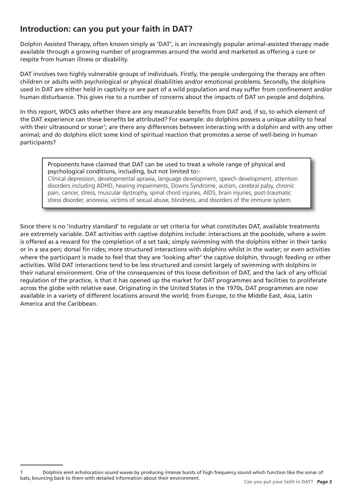# **Introduction: can you put your faith in DAT?**

Dolphin Assisted Therapy, often known simply as 'DAT', is an increasingly popular animal-assisted therapy made available through a growing number of programmes around the world and marketed as offering a cure or respite from human illness or disability.

DAT involves two highly vulnerable groups of individuals. Firstly, the people undergoing the therapy are often children or adults with psychological or physical disabilities and/or emotional problems. Secondly, the dolphins used in DAT are either held in captivity or are part of a wild population and may suffer from confinement and/or human disturbance. This gives rise to a number of concerns about the impacts of DAT on people and dolphins.

In this report, WDCS asks whether there are any measurable benefits from DAT and, if so, to which element of the DAT experience can these benefits be attributed? For example: do dolphins possess a unique ability to heal with their ultrasound or sonar<sup>1</sup>; are there any differences between interacting with a dolphin and with any other animal; and do dolphins elicit some kind of spiritual reaction that promotes a sense of well-being in human participants?

#### Proponents have claimed that DAT can be used to treat a whole range of physical and psychological conditions, including, but not limited to:-

Clinical depression, developmental apraxia, language development, speech development, attention disorders including ADHD, hearing impairments, Downs Syndrome, autism, cerebral palsy, chronic pain, cancer, stress, muscular dystrophy, spinal chord injuries, AIDS, brain injuries, post-traumatic stress disorder, anorexia, victims of sexual abuse, blindness, and disorders of the immune system.

Since there is no 'industry standard' to regulate or set criteria for what constitutes DAT, available treatments are extremely variable. DAT activities with captive dolphins include: interactions at the poolside, where a swim is offered as a reward for the completion of a set task; simply swimming with the dolphins either in their tanks or in a sea pen; dorsal fin rides; more structured interactions with dolphins whilst in the water; or even activities where the participant is made to feel that they are 'looking after' the captive dolphin, through feeding or other activities. Wild DAT interactions tend to be less structured and consist largely of swimming with dolphins in their natural environment. One of the consequences of this loose definition of DAT, and the lack of any official regulation of the practice, is that it has opened up the market for DAT programmes and facilities to proliferate across the globe with relative ease. Originating in the United States in the 1970s, DAT programmes are now available in a variety of different locations around the world; from Europe, to the Middle East, Asia, Latin America and the Caribbean.

<sup>1</sup> Dolphins emit echolocation sound waves by producing intense bursts of high frequency sound which function like the sonar of bats, bouncing back to them with detailed information about their environment.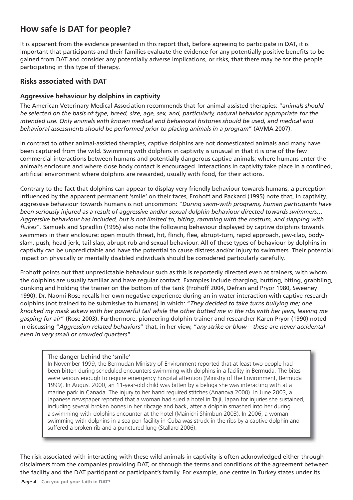# **How safe is DAT for people?**

It is apparent from the evidence presented in this report that, before agreeing to participate in DAT, it is important that participants and their families evaluate the evidence for any potentially positive benefits to be gained from DAT and consider any potentially adverse implications, or risks, that there may be for the people participating in this type of therapy.

## **Risks associated with DAT**

#### **Aggressive behaviour by dolphins in captivity**

The American Veterinary Medical Association recommends that for animal assisted therapies: "*animals should be selected on the basis of type, breed, size, age, sex, and, particularly, natural behavior appropriate for the intended use. Only animals with known medical and behavioral histories should be used, and medical and behavioral assessments should be performed prior to placing animals in a program*" (AVMA 2007).

In contrast to other animal-assisted therapies, captive dolphins are not domesticated animals and many have been captured from the wild. Swimming with dolphins in captivity is unusual in that it is one of the few commercial interactions between humans and potentially dangerous captive animals; where humans enter the animal's enclosure and where close body contact is encouraged. Interactions in captivity take place in a confined, artificial environment where dolphins are rewarded, usually with food, for their actions.

Contrary to the fact that dolphins can appear to display very friendly behaviour towards humans, a perception influenced by the apparent permanent 'smile' on their faces, Frohoff and Packard (1995) note that, in captivity, aggressive behaviour towards humans is not uncommon: "*During swim-with programs, human participants have been seriously injured as a result of aggressive and/or sexual dolphin behaviour directed towards swimmers… Aggressive behaviour has included, but is not limited to, biting, ramming with the rostrum, and slapping with fl ukes*". Samuels and Spradlin (1995) also note the following behaviour displayed by captive dolphins towards swimmers in their enclosure: open mouth threat, hit, flinch, flee, abrupt-turn, rapid approach, jaw-clap, bodyslam, push, head-jerk, tail-slap, abrupt rub and sexual behaviour. All of these types of behaviour by dolphins in captivity can be unpredictable and have the potential to cause distress and/or injury to swimmers. Their potential impact on physically or mentally disabled individuals should be considered particularly carefully.

Frohoff points out that unpredictable behaviour such as this is reportedly directed even at trainers, with whom the dolphins are usually familiar and have regular contact. Examples include charging, butting, biting, grabbling, dunking and holding the trainer on the bottom of the tank (Frohoff 2004, Defran and Pryor 1980, Sweeney 1990). Dr. Naomi Rose recalls her own negative experience during an in-water interaction with captive research dolphins (not trained to be submissive to humans) in which: "*They decided to take turns bullying me; one knocked my mask askew with her powerful tail while the other butted me in the ribs with her jaws, leaving me gasping for air*" (Rose 2003). Furthermore, pioneering dolphin trainer and researcher Karen Pryor (1990) noted in discussing "*Aggression-related behaviors*" that, in her view, "*any strike or blow – these are never accidental even in very small or crowded quarters*".

#### The danger behind the 'smile'

In November 1999, the Bermudan Ministry of Environment reported that at least two people had been bitten during scheduled encounters swimming with dolphins in a facility in Bermuda. The bites were serious enough to require emergency hospital attention (Ministry of the Environment, Bermuda 1999). In August 2000, an 11-year-old child was bitten by a beluga she was interacting with at a marine park in Canada. The injury to her hand required stitches (Ananova 2000). In June 2003, a Japanese newspaper reported that a woman had sued a hotel in Taiji, Japan for injuries she sustained, including several broken bones in her ribcage and back, after a dolphin smashed into her during a swimming-with-dolphins encounter at the hotel (Mainichi Shimbun 2003). In 2006, a woman swimming with dolphins in a sea pen facility in Cuba was struck in the ribs by a captive dolphin and suffered a broken rib and a punctured lung (Stallard 2006).

The risk associated with interacting with these wild animals in captivity is often acknowledged either through disclaimers from the companies providing DAT, or through the terms and conditions of the agreement between the facility and the DAT participant or participant's family. For example, one centre in Turkey states under its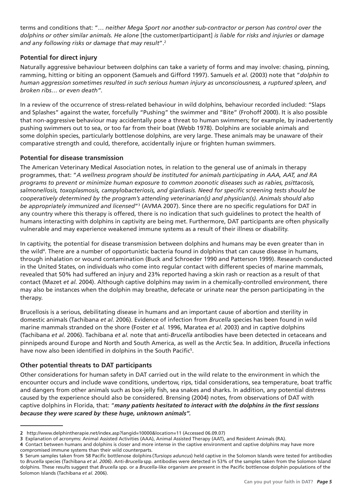terms and conditions that: "… *neither Mega Sport nor another sub-contractor or person has control over the dolphins or other similar animals. He alone* [the customer/participant] *is liable for risks and injuries or damage and any following risks or damage that may result*".2

## **Potential for direct injury**

Naturally aggressive behaviour between dolphins can take a variety of forms and may involve: chasing, pinning, ramming, hitting or biting an opponent (Samuels and Gifford 1997). Samuels *et al.* (2003) note that "*dolphin to human aggression sometimes resulted in such serious human injury as unconsciousness, a ruptured spleen, and broken ribs… or even death".*

In a review of the occurrence of stress-related behaviour in wild dolphins, behaviour recorded included: "Slaps and Splashes" against the water, forcefully "Pushing" the swimmer and "Bite" (Frohoff 2000). It is also possible that non-aggressive behaviour may accidentally pose a threat to human swimmers; for example, by inadvertently pushing swimmers out to sea, or too far from their boat (Webb 1978). Dolphins are sociable animals and some dolphin species, particularly bottlenose dolphins, are very large. These animals may be unaware of their comparative strength and could, therefore, accidentally injure or frighten human swimmers.

#### **Potential for disease transmission**

The American Veterinary Medical Association notes, in relation to the general use of animals in therapy programmes, that: "*A wellness program should be instituted for animals participating in AAA, AAT, and RA programs to prevent or minimize human exposure to common zoonotic diseases such as rabies, psittacosis,*  salmonellosis, toxoplasmosis, campylobacteriosis, and giardiasis. Need for specific screening tests should be *cooperatively determined by the program's attending veterinarian(s) and physician(s). Animals should also be appropriately immunized and licensed*"3 (AVMA 2007). Since there are no specifi c regulations for DAT in any country where this therapy is offered, there is no indication that such guidelines to protect the health of humans interacting with dolphins in captivity are being met. Furthermore, DAT participants are often physically vulnerable and may experience weakened immune systems as a result of their illness or disability.

In captivity, the potential for disease transmission between dolphins and humans may be even greater than in the wild4 . There are a number of opportunistic bacteria found in dolphins that can cause disease in humans, through inhalation or wound contamination (Buck and Schroeder 1990 and Patterson 1999). Research conducted in the United States, on individuals who come into regular contact with different species of marine mammals, revealed that 50% had suffered an injury and 23% reported having a skin rash or reaction as a result of that contact (Mazet *et al.* 2004). Although captive dolphins may swim in a chemically-controlled environment, there may also be instances when the dolphin may breathe, defecate or urinate near the person participating in the therapy.

Brucellosis is a serious, debilitating disease in humans and an important cause of abortion and sterility in domestic animals (Tachibana *et al.* 2006). Evidence of infection from *Brucella* species has been found in wild marine mammals stranded on the shore (Foster *et al.* 1996, Maratea *et al.* 2003) and in captive dolphins (Tachibana *et al.* 2006). Tachibana *et al.* note that anti-*Brucella* antibodies have been detected in cetaceans and pinnipeds around Europe and North and South America, as well as the Arctic Sea. In addition, *Brucella* infections have now also been identified in dolphins in the South Pacific<sup>5</sup>.

#### **Other potential threats to DAT participants**

Other considerations for human safety in DAT carried out in the wild relate to the environment in which the encounter occurs and include wave conditions, undertow, rips, tidal considerations, sea temperature, boat traffic and dangers from other animals such as box-jelly fish, sea snakes and sharks. In addition, any potential distress caused by the experience should also be considered. Brensing (2004) notes, from observations of DAT with captive dolphins in Florida, that: "many patients hesitated to interact with the dolphins in the first sessions *because they were scared by these huge, unknown animals".*

**<sup>2</sup>** http://www.delphintherapie.net/index.asp?langid=10000&location=11 (Accessed 06.09.07)

**<sup>3</sup>** Explanation of acronyms: Animal Assisted Activities (AAA), Animal Assisted Therapy (AAT), and Resident Animals (RA).

**<sup>4</sup>** Contact between humans and dolphins is closer and more intense in the captive environment and captive dolphins may have more compromised immune systems than their wild counterparts.

<sup>5</sup> Serum samples taken from 58 Pacific bottlenose dolphins (*Tursiops aduncus*) held captive in the Solomon Islands were tested for antibodies to *Brucella* species (Tachibana *et al. 2006*). Anti-*Brucella* spp. antibodies were detected in 53% of the samples taken from the Solomon Island dolphins. These results suggest that *Brucella* spp. or a *Brucella*-like organism are present in the Pacific bottlenose dolphin populations of the Solomon Islands (Tachibana *et al.* 2006).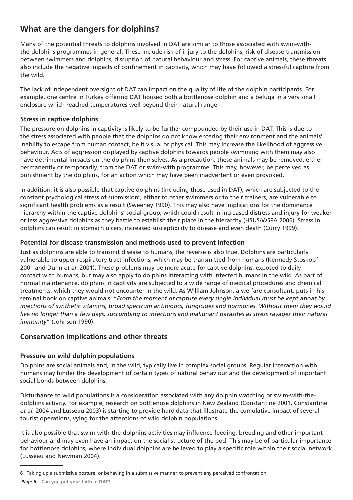# **What are the dangers for dolphins?**

Many of the potential threats to dolphins involved in DAT are similar to those associated with swim-withthe-dolphins programmes in general. These include risk of injury to the dolphins, risk of disease transmission between swimmers and dolphins, disruption of natural behaviour and stress. For captive animals, these threats also include the negative impacts of confinement in captivity, which may have followed a stressful capture from the wild.

The lack of independent oversight of DAT can impact on the quality of life of the dolphin participants. For example, one centre in Turkey offering DAT housed both a bottlenose dolphin and a beluga in a very small enclosure which reached temperatures well beyond their natural range.

## **Stress in captive dolphins**

The pressure on dolphins in captivity is likely to be further compounded by their use in DAT. This is due to the stress associated with people that the dolphins do not know entering their environment and the animals' inability to escape from human contact, be it visual or physical. This may increase the likelihood of aggressive behaviour. Acts of aggression displayed by captive dolphins towards people swimming with them may also have detrimental impacts on the dolphins themselves. As a precaution, these animals may be removed, either permanently or temporarily, from the DAT or swim-with programme. This may, however, be perceived as punishment by the dolphins, for an action which may have been inadvertent or even provoked.

In addition, it is also possible that captive dolphins (including those used in DAT), which are subjected to the constant psychological stress of submission<sup>6</sup>, either to other swimmers or to their trainers, are vulnerable to significant health problems as a result (Sweeney 1990). This may also have implications for the dominance hierarchy within the captive dolphins' social group, which could result in increased distress and injury for weaker or less aggressive dolphins as they battle to establish their place in the hierarchy (HSUS/WSPA 2006). Stress in dolphins can result in stomach ulcers, increased susceptibility to disease and even death (Curry 1999).

#### **Potential for disease transmission and methods used to prevent infection**

Just as dolphins are able to transmit disease to humans, the reverse is also true. Dolphins are particularly vulnerable to upper respiratory tract infections, which may be transmitted from humans (Kennedy-Stoskopf 2001 and Dunn *et al*. 2001). These problems may be more acute for captive dolphins, exposed to daily contact with humans, but may also apply to dolphins interacting with infected humans in the wild. As part of normal maintenance, dolphins in captivity are subjected to a wide range of medical procedures and chemical treatments, which they would not encounter in the wild. As William Johnson, a welfare consultant, puts in his seminal book on captive animals: "*From the moment of capture every single individual must be kept afloat by injections of synthetic vitamins, broad spectrum antibiotics, fungicides and hormones. Without them they would live no longer than a few days, succumbing to infections and malignant parasites as stress ravages their natural immunity*" (Johnson 1990).

## **Conservation implications and other threats**

## **Pressure on wild dolphin populations**

Dolphins are social animals and, in the wild, typically live in complex social groups. Regular interaction with humans may hinder the development of certain types of natural behaviour and the development of important social bonds between dolphins.

Disturbance to wild populations is a consideration associated with any dolphin watching or swim-with-thedolphins activity. For example, research on bottlenose dolphins in New Zealand (Constantine 2001, Constantine *et al.* 2004 and Lusseau 2003) is starting to provide hard data that illustrate the cumulative impact of several tourist operations, vying for the attentions of wild dolphin populations.

It is also possible that swim-with-the-dolphins activities may influence feeding, breeding and other important behaviour and may even have an impact on the social structure of the pod. This may be of particular importance for bottlenose dolphins, where individual dolphins are believed to play a specific role within their social network (Lusseau and Newman 2004).

**<sup>6</sup>** Taking up a submissive posture, or behaving in a submissive manner, to prevent any perceived confrontation.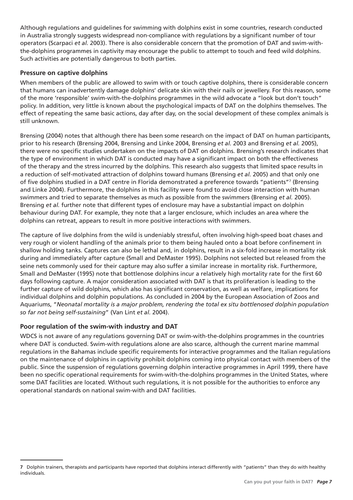Although regulations and guidelines for swimming with dolphins exist in some countries, research conducted in Australia strongly suggests widespread non-compliance with regulations by a significant number of tour operators (Scarpaci *et al.* 2003). There is also considerable concern that the promotion of DAT and swim-withthe-dolphins programmes in captivity may encourage the public to attempt to touch and feed wild dolphins. Such activities are potentially dangerous to both parties.

#### **Pressure on captive dolphins**

When members of the public are allowed to swim with or touch captive dolphins, there is considerable concern that humans can inadvertently damage dolphins' delicate skin with their nails or jewellery. For this reason, some of the more 'responsible' swim-with-the-dolphins programmes in the wild advocate a "look but don't touch" policy. In addition, very little is known about the psychological impacts of DAT on the dolphins themselves. The effect of repeating the same basic actions, day after day, on the social development of these complex animals is still unknown.

Brensing (2004) notes that although there has been some research on the impact of DAT on human participants, prior to his research (Brensing 2004, Brensing and Linke 2004, Brensing *et al.* 2003 and Brensing *et al.* 2005), there were no specific studies undertaken on the impacts of DAT on dolphins. Brensing's research indicates that the type of environment in which DAT is conducted may have a significant impact on both the effectiveness of the therapy and the stress incurred by the dolphins. This research also suggests that limited space results in a reduction of self-motivated attraction of dolphins toward humans (Brensing *et al.* 2005) and that only one of five dolphins studied in a DAT centre in Florida demonstrated a preference towards "patients"<sup>7</sup> (Brensing and Linke 2004). Furthermore, the dolphins in this facility were found to avoid close interaction with human swimmers and tried to separate themselves as much as possible from the swimmers (Brensing *et al.* 2005). Brensing *et al.* further note that different types of enclosure may have a substantial impact on dolphin behaviour during DAT. For example, they note that a larger enclosure, which includes an area where the dolphins can retreat, appears to result in more positive interactions with swimmers.

The capture of live dolphins from the wild is undeniably stressful, often involving high-speed boat chases and very rough or violent handling of the animals prior to them being hauled onto a boat before confinement in shallow holding tanks. Captures can also be lethal and, in dolphins, result in a six-fold increase in mortality risk during and immediately after capture (Small and DeMaster 1995). Dolphins not selected but released from the seine nets commonly used for their capture may also suffer a similar increase in mortality risk. Furthermore, Small and DeMaster (1995) note that bottlenose dolphins incur a relatively high mortality rate for the first 60 days following capture. A major consideration associated with DAT is that its proliferation is leading to the further capture of wild dolphins, which also has significant conservation, as well as welfare, implications for individual dolphins and dolphin populations. As concluded in 2004 by the European Association of Zoos and Aquariums, "*Neonatal mortality is a major problem, rendering the total ex situ bottlenosed dolphin population so far not being self-sustaining*" (Van Lint *et al.* 2004).

## **Poor regulation of the swim-with industry and DAT**

WDCS is not aware of any regulations governing DAT or swim-with-the-dolphins programmes in the countries where DAT is conducted. Swim-with regulations alone are also scarce, although the current marine mammal regulations in the Bahamas include specific requirements for interactive programmes and the Italian regulations on the maintenance of dolphins in captivity prohibit dolphins coming into physical contact with members of the public. Since the suspension of regulations governing dolphin interactive programmes in April 1999, there have been no specific operational requirements for swim-with-the-dolphins programmes in the United States, where some DAT facilities are located. Without such regulations, it is not possible for the authorities to enforce any operational standards on national swim-with and DAT facilities.

**<sup>7</sup>** Dolphin trainers, therapists and participants have reported that dolphins interact differently with "patients" than they do with healthy individuals.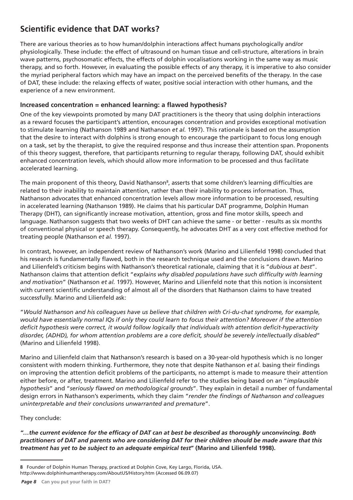# **Scientific evidence that DAT works?**

There are various theories as to how human/dolphin interactions affect humans psychologically and/or physiologically. These include: the effect of ultrasound on human tissue and cell-structure, alterations in brain wave patterns, psychosomatic effects, the effects of dolphin vocalisations working in the same way as music therapy, and so forth. However, in evaluating the possible effects of any therapy, it is imperative to also consider the myriad peripheral factors which may have an impact on the perceived benefits of the therapy. In the case of DAT, these include: the relaxing effects of water, positive social interaction with other humans, and the experience of a new environment.

## Increased concentration = enhanced learning: a flawed hypothesis?

One of the key viewpoints promoted by many DAT practitioners is the theory that using dolphin interactions as a reward focuses the participant's attention, encourages concentration and provides exceptional motivation to stimulate learning (Nathanson 1989 and Nathanson *et al.* 1997). This rationale is based on the assumption that the desire to interact with dolphins is strong enough to encourage the participant to focus long enough on a task, set by the therapist, to give the required response and thus increase their attention span. Proponents of this theory suggest, therefore, that participants returning to regular therapy, following DAT, should exhibit enhanced concentration levels, which should allow more information to be processed and thus facilitate accelerated learning.

The main proponent of this theory, David Nathanson<sup>8</sup>, asserts that some children's learning difficulties are related to their inability to maintain attention, rather than their inability to process information. Thus, Nathanson advocates that enhanced concentration levels allow more information to be processed, resulting in accelerated learning (Nathanson 1989). He claims that his particular DAT programme, Dolphin Human Therapy (DHT), can significantly increase motivation, attention, gross and fine motor skills, speech and language. Nathanson suggests that two weeks of DHT can achieve the same - or better - results as six months of conventional physical or speech therapy. Consequently, he advocates DHT as a very cost effective method for treating people (Nathanson *et al.* 1997).

In contrast, however, an independent review of Nathanson's work (Marino and Lilienfeld 1998) concluded that his research is fundamentally flawed, both in the research technique used and the conclusions drawn. Marino and Lilienfeld's criticism begins with Nathanson's theoretical rationale, claiming that it is "*dubious at best*". Nathanson claims that attention deficit "*explains why disabled populations have such difficulty with learning and motivation*" (Nathanson *et al.* 1997). However, Marino and Lilienfeld note that this notion is inconsistent with current scientific understanding of almost all of the disorders that Nathanson claims to have treated successfully. Marino and Lilienfeld ask:

"*Would Nathanson and his colleagues have us believe that children with Cri-du-chat syndrome, for example, would have essentially normal IQs if only they could learn to focus their attention? Moreover if the attention*  deficit hypothesis were correct, it would follow logically that individuals with attention deficit-hyperactivity disorder, (ADHD), for whom attention problems are a core deficit, should be severely intellectually disabled" (Marino and Lilienfeld 1998).

Marino and Lilienfeld claim that Nathanson's research is based on a 30-year-old hypothesis which is no longer consistent with modern thinking. Furthermore, they note that despite Nathanson *et al.* basing their findings on improving the attention deficit problems of the participants, no attempt is made to measure their attention either before, or after, treatment. Marino and Lilienfeld refer to the studies being based on an "*implausible hypothesis*" and "*seriously flawed on methodological grounds*". They explain in detail a number of fundamental design errors in Nathanson's experiments, which they claim "*render the findings of Nathanson and colleagues uninterpretable and their conclusions unwarranted and premature*".

#### They conclude:

*"…the current evidence for the effi cacy of DAT can at best be described as thoroughly unconvincing. Both practitioners of DAT and parents who are considering DAT for their children should be made aware that this treatment has yet to be subject to an adequate empirical test***" (Marino and Lilienfeld 1998).**

**<sup>8</sup>** Founder of Dolphin Human Therapy, practiced at Dolphin Cove, Key Largo, Florida, USA. http://www.dolphinhumantherapy.com/AboutUS/History.htm (Accessed 06.09.07)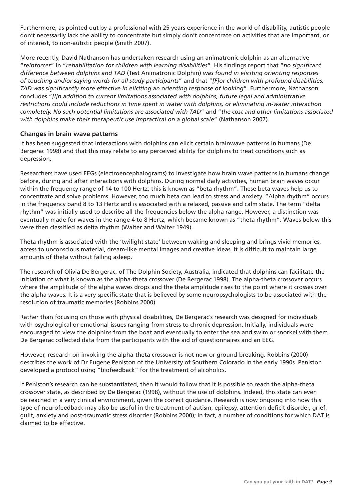Furthermore, as pointed out by a professional with 25 years experience in the world of disability, autistic people don't necessarily lack the ability to concentrate but simply don't concentrate on activities that are important, or of interest, to non-autistic people (Smith 2007).

More recently, David Nathanson has undertaken research using an animatronic dolphin as an alternative "*reinforcer*" in "*rehabilitation for children with learning disabilities*". His findings report that "*no significant difference between dolphins and TAD* (Test Animatronic Dolphin) *was found in eliciting orienting responses of touching and/or saying words for all study participants*" and that "*[F]or children with profound disabilities, TAD was signifi cantly more effective in eliciting an orienting response of looking*". Furthermore, Nathanson concludes "*[I]n addition to current limitations associated with dolphins, future legal and administrative restrictions could include reductions in time spent in water with dolphins, or eliminating in-water interaction completely. No such potential limitations are associated with TAD*" and "*the cost and other limitations associated with dolphins make their therapeutic use impractical on a global scale*" (Nathanson 2007).

#### **Changes in brain wave patterns**

It has been suggested that interactions with dolphins can elicit certain brainwave patterns in humans (De Bergerac 1998) and that this may relate to any perceived ability for dolphins to treat conditions such as depression.

Researchers have used EEGs (electroencephalograms) to investigate how brain wave patterns in humans change before, during and after interactions with dolphins. During normal daily activities, human brain waves occur within the frequency range of 14 to 100 Hertz; this is known as "beta rhythm". These beta waves help us to concentrate and solve problems. However, too much beta can lead to stress and anxiety. "Alpha rhythm" occurs in the frequency band 8 to 13 Hertz and is associated with a relaxed, passive and calm state. The term "delta rhythm" was initially used to describe all the frequencies below the alpha range. However, a distinction was eventually made for waves in the range 4 to 8 Hertz, which became known as "theta rhythm". Waves below this were then classified as delta rhythm (Walter and Walter 1949).

Theta rhythm is associated with the 'twilight state' between waking and sleeping and brings vivid memories, access to unconscious material, dream-like mental images and creative ideas. It is difficult to maintain large amounts of theta without falling asleep.

The research of Olivia De Bergerac, of The Dolphin Society, Australia, indicated that dolphins can facilitate the initiation of what is known as the alpha-theta crossover (De Bergerac 1998). The alpha-theta crossover occurs where the amplitude of the alpha waves drops and the theta amplitude rises to the point where it crosses over the alpha waves. It is a very specific state that is believed by some neuropsychologists to be associated with the resolution of traumatic memories (Robbins 2000).

Rather than focusing on those with physical disabilities, De Bergerac's research was designed for individuals with psychological or emotional issues ranging from stress to chronic depression. Initially, individuals were encouraged to view the dolphins from the boat and eventually to enter the sea and swim or snorkel with them. De Bergerac collected data from the participants with the aid of questionnaires and an EEG.

However, research on invoking the alpha-theta crossover is not new or ground-breaking. Robbins (2000) describes the work of Dr Eugene Peniston of the University of Southern Colorado in the early 1990s. Peniston developed a protocol using "biofeedback" for the treatment of alcoholics.

If Peniston's research can be substantiated, then it would follow that it is possible to reach the alpha-theta crossover state, as described by De Bergerac (1998), without the use of dolphins. Indeed, this state can even be reached in a very clinical environment, given the correct guidance. Research is now ongoing into how this type of neurofeedback may also be useful in the treatment of autism, epilepsy, attention deficit disorder, grief, guilt, anxiety and post-traumatic stress disorder (Robbins 2000); in fact, a number of conditions for which DAT is claimed to be effective.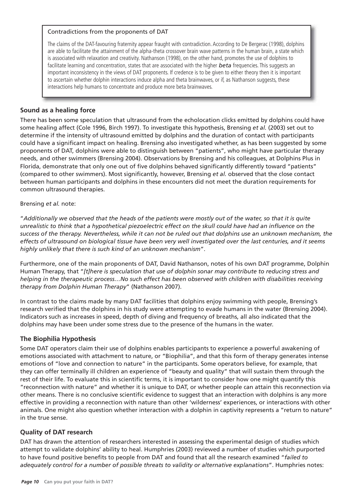#### Contradictions from the proponents of DAT

The claims of the DAT-favouring fraternity appear fraught with contradiction. According to De Bergerac (1998), dolphins are able to facilitate the attainment of the alpha-theta crossover brain wave patterns in the human brain, a state which is associated with relaxation and creativity. Nathanson (1998), on the other hand, promotes the use of dolphins to facilitate learning and concentration, states that are associated with the higher *beta* frequencies. This suggests an important inconsistency in the views of DAT proponents. If credence is to be given to either theory then it is important to ascertain whether dolphin interactions induce alpha and theta brainwaves, or if, as Nathanson suggests, these interactions help humans to concentrate and produce more beta brainwaves.

## **Sound as a healing force**

There has been some speculation that ultrasound from the echolocation clicks emitted by dolphins could have some healing affect (Cole 1996, Birch 1997). To investigate this hypothesis, Brensing *et al.* (2003) set out to determine if the intensity of ultrasound emitted by dolphins and the duration of contact with participants could have a significant impact on healing. Brensing also investigated whether, as has been suggested by some proponents of DAT, dolphins were able to distinguish between "patients", who might have particular therapy needs, and other swimmers (Brensing 2004). Observations by Brensing and his colleagues, at Dolphins Plus in Florida, demonstrate that only one out of five dolphins behaved significantly differently toward "patients" (compared to other swimmers). Most significantly, however, Brensing *et al.* observed that the close contact between human participants and dolphins in these encounters did not meet the duration requirements for common ultrasound therapies.

#### Brensing *et al.* note:

"*Additionally we observed that the heads of the patients were mostly out of the water, so that it is quite*  unrealistic to think that a hypothetical piezoelectric effect on the skull could have had an influence on the *success of the therapy. Nevertheless, while it can not be ruled out that dolphins use an unknown mechanism, the effects of ultrasound on biological tissue have been very well investigated over the last centuries, and it seems highly unlikely that there is such kind of an unknown mechanism*".

Furthermore, one of the main proponents of DAT, David Nathanson, notes of his own DAT programme, Dolphin Human Therapy, that "*[t]here is speculation that use of dolphin sonar may contribute to reducing stress and helping in the therapeutic process…No such effect has been observed with children with disabilities receiving therapy from Dolphin Human Therapy*" (Nathanson 2007).

In contrast to the claims made by many DAT facilities that dolphins enjoy swimming with people, Brensing's research verified that the dolphins in his study were attempting to evade humans in the water (Brensing 2004). Indicators such as increases in speed, depth of diving and frequency of breaths, all also indicated that the dolphins may have been under some stress due to the presence of the humans in the water.

#### **The Biophilia Hypothesis**

Some DAT operators claim their use of dolphins enables participants to experience a powerful awakening of emotions associated with attachment to nature, or "Biophilia", and that this form of therapy generates intense emotions of "love and connection to nature" in the participants. Some operators believe, for example, that they can offer terminally ill children an experience of "beauty and quality" that will sustain them through the rest of their life. To evaluate this in scientific terms, it is important to consider how one might quantify this "reconnection with nature" and whether it is unique to DAT, or whether people can attain this reconnection via other means. There is no conclusive scientific evidence to suggest that an interaction with dolphins is any more effective in providing a reconnection with nature than other 'wilderness' experiences, or interactions with other animals. One might also question whether interaction with a dolphin in captivity represents a "return to nature" in the true sense.

#### **Quality of DAT research**

DAT has drawn the attention of researchers interested in assessing the experimental design of studies which attempt to validate dolphins' ability to heal. Humphries (2003) reviewed a number of studies which purported to have found positive benefits to people from DAT and found that all the research examined "failed to *adequately control for a number of possible threats to validity or alternative explanations*". Humphries notes: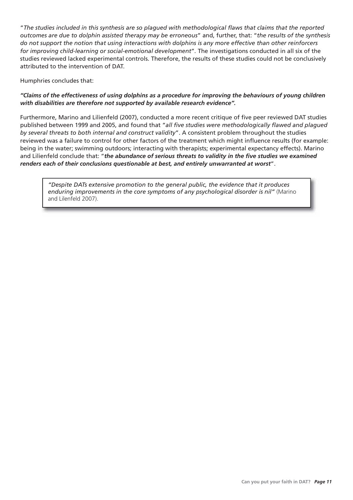"*The studies included in this synthesis are so plagued with methodological fl aws that claims that the reported outcomes are due to dolphin assisted therapy may be erroneous*" and, further, that: "*the results of the synthesis do not support the notion that using interactions with dolphins is any more effective than other reinforcers for improving child-learning or social-emotional development*"*.* The investigations conducted in all six of the studies reviewed lacked experimental controls. Therefore, the results of these studies could not be conclusively attributed to the intervention of DAT.

Humphries concludes that:

#### *"Claims of the effectiveness of using dolphins as a procedure for improving the behaviours of young children with disabilities are therefore not supported by available research evidence".*

Furthermore, Marino and Lilienfeld (2007), conducted a more recent critique of five peer reviewed DAT studies published between 1999 and 2005, and found that "all five studies were methodologically flawed and plagued *by several threats to both internal and construct validity*". A consistent problem throughout the studies reviewed was a failure to control for other factors of the treatment which might influence results (for example: being in the water; swimming outdoors; interacting with therapists; experimental expectancy effects). Marino and Lilienfeld conclude that: "the abundance of serious threats to validity in the five studies we examined *renders each of their conclusions questionable at best, and entirely unwarranted at worst*".

*"Despite DATs extensive promotion to the general public, the evidence that it produces enduring improvements in the core symptoms of any psychological disorder is nil"* (Marino and Lilenfeld 2007).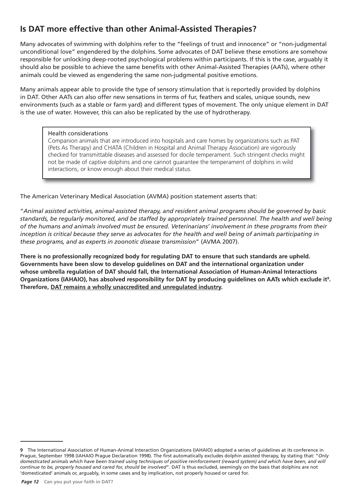# **Is DAT more effective than other Animal-Assisted Therapies?**

Many advocates of swimming with dolphins refer to the "feelings of trust and innocence" or "non-judgmental unconditional love" engendered by the dolphins. Some advocates of DAT believe these emotions are somehow responsible for unlocking deep-rooted psychological problems within participants. If this is the case, arguably it should also be possible to achieve the same benefits with other Animal-Assisted Therapies (AATs), where other animals could be viewed as engendering the same non-judgmental positive emotions.

Many animals appear able to provide the type of sensory stimulation that is reportedly provided by dolphins in DAT. Other AATs can also offer new sensations in terms of fur, feathers and scales, unique sounds, new environments (such as a stable or farm yard) and different types of movement. The only unique element in DAT is the use of water. However, this can also be replicated by the use of hydrotherapy.

#### Health considerations

Companion animals that are introduced into hospitals and care homes by organizations such as PAT (Pets As Therapy) and CHATA (Children in Hospital and Animal Therapy Association) are vigorously checked for transmittable diseases and assessed for docile temperament. Such stringent checks might not be made of captive dolphins and one cannot guarantee the temperament of dolphins in wild interactions, or know enough about their medical status.

The American Veterinary Medical Association (AVMA) position statement asserts that:

"*Animal assisted activities, animal-assisted therapy, and resident animal programs should be governed by basic standards, be regularly monitored, and be staffed by appropriately trained personnel. The health and well being of the humans and animals involved must be ensured. Veterinarians' involvement in these programs from their inception is critical because they serve as advocates for the health and well being of animals participating in these programs, and as experts in zoonotic disease transmission*" (AVMA 2007).

**There is no professionally recognized body for regulating DAT to ensure that such standards are upheld. Governments have been slow to develop guidelines on DAT and the international organization under whose umbrella regulation of DAT should fall, the International Association of Human-Animal Interactions**  Organizations (IAHAIO), has absolved responsibility for DAT by producing guidelines on AATs which exclude it<sup>9</sup>. **Therefore, DAT remains a wholly unaccredited and unregulated industry.**

**<sup>9</sup>** The International Association of Human-Animal Interaction Organizations (IAHAIO) adopted a series of guidelines at its conference in Prague, September 1998 (IAHAIO Prague Declaration 1998). The first automatically excludes dolphin assisted therapy, by stating that: "Only *domesticated animals which have been trained using techniques of positive reinforcement (reward system) and which have been, and will continue to be, properly housed and cared for, should be involved*". DAT is thus excluded, seemingly on the basis that dolphins are not 'domesticated' animals or, arguably, in some cases and by implication, not properly housed or cared for.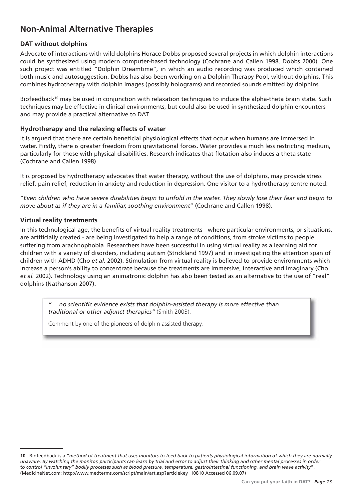# **Non-Animal Alternative Therapies**

## **DAT without dolphins**

Advocate of interactions with wild dolphins Horace Dobbs proposed several projects in which dolphin interactions could be synthesized using modern computer-based technology (Cochrane and Callen 1998, Dobbs 2000). One such project was entitled "Dolphin Dreamtime", in which an audio recording was produced which contained both music and autosuggestion. Dobbs has also been working on a Dolphin Therapy Pool, without dolphins. This combines hydrotherapy with dolphin images (possibly holograms) and recorded sounds emitted by dolphins.

Biofeedback<sup>10</sup> may be used in conjunction with relaxation techniques to induce the alpha-theta brain state. Such techniques may be effective in clinical environments, but could also be used in synthesized dolphin encounters and may provide a practical alternative to DAT.

## **Hydrotherapy and the relaxing effects of water**

It is arqued that there are certain beneficial physiological effects that occur when humans are immersed in water. Firstly, there is greater freedom from gravitational forces. Water provides a much less restricting medium, particularly for those with physical disabilities. Research indicates that flotation also induces a theta state (Cochrane and Callen 1998).

It is proposed by hydrotherapy advocates that water therapy, without the use of dolphins, may provide stress relief, pain relief, reduction in anxiety and reduction in depression. One visitor to a hydrotherapy centre noted:

"*Even children who have severe disabilities begin to unfold in the water. They slowly lose their fear and begin to move about as if they are in a familiar, soothing environment*" (Cochrane and Callen 1998).

## **Virtual reality treatments**

In this technological age, the benefits of virtual reality treatments - where particular environments, or situations, are artificially created - are being investigated to help a range of conditions, from stroke victims to people suffering from arachnophobia. Researchers have been successful in using virtual reality as a learning aid for children with a variety of disorders, including autism (Strickland 1997) and in investigating the attention span of children with ADHD (Cho *et al.* 2002). Stimulation from virtual reality is believed to provide environments which increase a person's ability to concentrate because the treatments are immersive, interactive and imaginary (Cho *et al.* 2002). Technology using an animatronic dolphin has also been tested as an alternative to the use of "real" dolphins (Nathanson 2007).

"....no scientific evidence exists that dolphin-assisted therapy is more effective than *traditional or other adjunct therapies"* (Smith 2003).

Comment by one of the pioneers of dolphin assisted therapy.

**<sup>10</sup>** Biofeedback is a "*method of treatment that uses monitors to feed back to patients physiological information of which they are normally unaware. By watching the monitor, participants can learn by trial and error to adjust their thinking and other mental processes in order to control "involuntary" bodily processes such as blood pressure, temperature, gastrointestinal functioning, and brain wave activity*". (MedicineNet.com: http://www.medterms.com/script/main/art.asp?articlekey=10810 Accessed 06.09.07)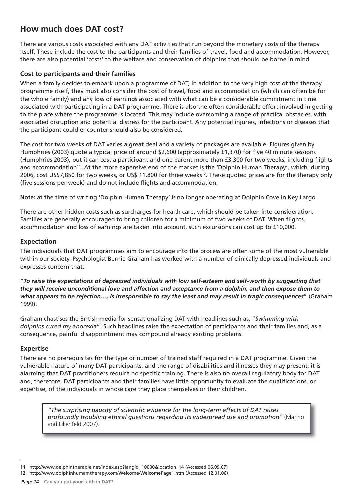# **How much does DAT cost?**

There are various costs associated with any DAT activities that run beyond the monetary costs of the therapy itself. These include the cost to the participants and their families of travel, food and accommodation. However, there are also potential 'costs' to the welfare and conservation of dolphins that should be borne in mind.

#### **Cost to participants and their families**

When a family decides to embark upon a programme of DAT, in addition to the very high cost of the therapy programme itself, they must also consider the cost of travel, food and accommodation (which can often be for the whole family) and any loss of earnings associated with what can be a considerable commitment in time associated with participating in a DAT programme. There is also the often considerable effort involved in getting to the place where the programme is located. This may include overcoming a range of practical obstacles, with associated disruption and potential distress for the participant. Any potential injuries, infections or diseases that the participant could encounter should also be considered.

The cost for two weeks of DAT varies a great deal and a variety of packages are available. Figures given by Humphries (2003) quote a typical price of around \$2,600 (approximately £1,370) for five 40 minute sessions (Humphries 2003), but it can cost a participant and one parent more than £3,300 for two weeks, including flights and accommodation<sup>11</sup>. At the more expensive end of the market is the 'Dolphin Human Therapy', which, during 2006, cost US\$7,850 for two weeks, or US\$ 11,800 for three weeks<sup>12</sup>. These quoted prices are for the therapy only (five sessions per week) and do not include flights and accommodation.

**Note:** at the time of writing 'Dolphin Human Therapy' is no longer operating at Dolphin Cove in Key Largo.

There are other hidden costs such as surcharges for health care, which should be taken into consideration. Families are generally encouraged to bring children for a minimum of two weeks of DAT. When flights, accommodation and loss of earnings are taken into account, such excursions can cost up to £10,000.

## **Expectation**

The individuals that DAT programmes aim to encourage into the process are often some of the most vulnerable within our society. Psychologist Bernie Graham has worked with a number of clinically depressed individuals and expresses concern that:

"*To raise the expectations of depressed individuals with low self-esteem and self-worth by suggesting that they will receive unconditional love and affection and acceptance from a dolphin, and then expose them to what appears to be rejection…, is irresponsible to say the least and may result in tragic consequences*" (Graham 1999).

Graham chastises the British media for sensationalizing DAT with headlines such as, "*Swimming with dolphins cured my anorexia*". Such headlines raise the expectation of participants and their families and, as a consequence, painful disappointment may compound already existing problems.

## **Expertise**

There are no prerequisites for the type or number of trained staff required in a DAT programme. Given the vulnerable nature of many DAT participants, and the range of disabilities and illnesses they may present, it is alarming that DAT practitioners require no specific training. There is also no overall regulatory body for DAT and, therefore, DAT participants and their families have little opportunity to evaluate the qualifications, or expertise, of the individuals in whose care they place themselves or their children.

*"The surprising paucity of scientifi c evidence for the long-term effects of DAT raises profoundly troubling ethical questions regarding its widespread use and promotion"* (Marino and Lilienfeld 2007).

**<sup>11</sup>** http://www.delphintherapie.net/index.asp?langid=10000&location=14 (Accessed 06.09.07)

**<sup>12</sup>** http://www.dolphinhumamtherapy.com/Welcome/WelcomePage1.htm (Accessed 12.01.06)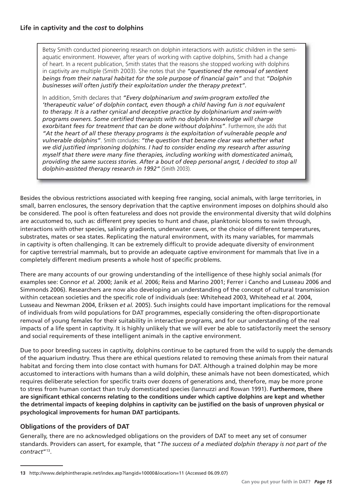Betsy Smith conducted pioneering research on dolphin interactions with autistic children in the semiaquatic environment. However, after years of working with captive dolphins, Smith had a change of heart. In a recent publication, Smith states that the reasons she stopped working with dolphins in captivity are multiple (Smith 2003). She notes that she *"questioned the removal of sentient beings from their natural habitat for the sole purpose of fi nancial gain"* and that *"Dolphin businesses will often justify their exploitation under the therapy pretext".*

In addition, Smith declares that *"Every dolphinarium and swim-program extolled the 'therapeutic value' of dolphin contact, even though a child having fun is not equivalent to therapy. It is a rather cynical and deceptive practice by dolphinarium and swim-with programs owners. Some certifi ed therapists with no dolphin knowledge will charge exorbitant fees for treatment that can be done without dolphins"*. Furthermore, she adds that *"At the heart of all these therapy programs is the exploitation of vulnerable people and vulnerable dolphins"*. Smith concludes: *"the question that became clear was whether what*  we did justified imprisoning dolphins. I had to consider ending my research after assuring myself that there were many fine therapies, including working with domesticated animals, *providing the same success stories. After a bout of deep personal angst, I decided to stop all dolphin-assisted therapy research in 1992"* (Smith 2003).

Besides the obvious restrictions associated with keeping free ranging, social animals, with large territories, in small, barren enclosures, the sensory deprivation that the captive environment imposes on dolphins should also be considered. The pool is often featureless and does not provide the environmental diversity that wild dolphins are accustomed to, such as: different prey species to hunt and chase, planktonic blooms to swim through, interactions with other species, salinity gradients, underwater caves, or the choice of different temperatures, substrates, mates or sea states. Replicating the natural environment, with its many variables, for mammals in captivity is often challenging. It can be extremely difficult to provide adequate diversity of environment for captive terrestrial mammals, but to provide an adequate captive environment for mammals that live in a completely different medium presents a whole host of specific problems.

There are many accounts of our growing understanding of the intelligence of these highly social animals (for examples see: Connor *et al.* 2000; Janik *et al.* 2006; Reiss and Marino 2001; Ferrer i Cancho and Lusseau 2006 and Simmonds 2006). Researchers are now also developing an understanding of the concept of cultural transmission within cetacean societies and the specific role of individuals (see: Whitehead 2003, Whitehead *et al.* 2004, Lusseau and Newman 2004, Eriksen *et al.* 2005). Such insights could have important implications for the removal of individuals from wild populations for DAT programmes, especially considering the often-disproportionate removal of young females for their suitability in interactive programs, and for our understanding of the real impacts of a life spent in captivity. It is highly unlikely that we will ever be able to satisfactorily meet the sensory and social requirements of these intelligent animals in the captive environment.

Due to poor breeding success in captivity, dolphins continue to be captured from the wild to supply the demands of the aquarium industry. Thus there are ethical questions related to removing these animals from their natural habitat and forcing them into close contact with humans for DAT. Although a trained dolphin may be more accustomed to interactions with humans than a wild dolphin, these animals have not been domesticated, which requires deliberate selection for specific traits over dozens of generations and, therefore, may be more prone to stress from human contact than truly domesticated species (Iannuzzi and Rowan 1991). **Furthermore, there**  are significant ethical concerns relating to the conditions under which captive dolphins are kept and whether the detrimental impacts of keeping dolphins in captivity can be justified on the basis of unproven physical or **psychological improvements for human DAT participants.** 

#### **Obligations of the providers of DAT**

Generally, there are no acknowledged obligations on the providers of DAT to meet any set of consumer standards. Providers can assert, for example, that "*The success of a mediated dolphin therapy is not part of the contract*"13.

**<sup>13</sup>** http://www.delphintherapie.net/index.asp?langid=10000&location=11 (Accessed 06.09.07)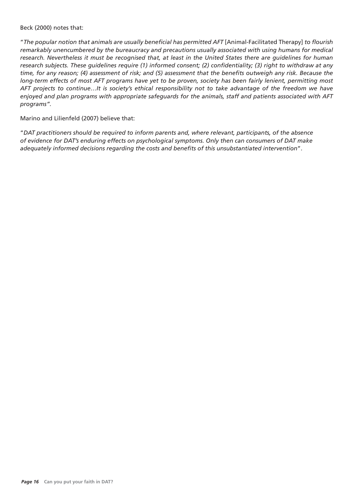#### Beck (2000) notes that:

"The popular notion that animals are usually beneficial has permitted AFT [Animal-Facilitated Therapy] to flourish *remarkably unencumbered by the bureaucracy and precautions usually associated with using humans for medical research. Nevertheless it must be recognised that, at least in the United States there are guidelines for human*  research subjects. These guidelines require (1) informed consent; (2) confidentiality; (3) right to withdraw at any *time, for any reason; (4) assessment of risk; and (5) assessment that the benefits outweigh any risk. Because the long-term effects of most AFT programs have yet to be proven, society has been fairly lenient, permitting most AFT projects to continue…It is society's ethical responsibility not to take advantage of the freedom we have enjoyed and plan programs with appropriate safeguards for the animals, staff and patients associated with AFT programs".* 

Marino and Lilienfeld (2007) believe that:

"*DAT practitioners should be required to inform parents and, where relevant, participants, of the absence of evidence for DAT's enduring effects on psychological symptoms. Only then can consumers of DAT make adequately informed decisions regarding the costs and benefi ts of this unsubstantiated intervention*".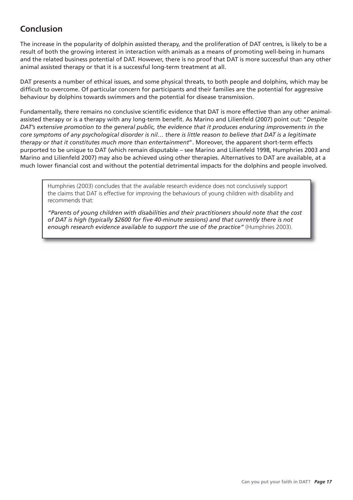# **Conclusion**

The increase in the popularity of dolphin assisted therapy, and the proliferation of DAT centres, is likely to be a result of both the growing interest in interaction with animals as a means of promoting well-being in humans and the related business potential of DAT. However, there is no proof that DAT is more successful than any other animal assisted therapy or that it is a successful long-term treatment at all.

DAT presents a number of ethical issues, and some physical threats, to both people and dolphins, which may be difficult to overcome. Of particular concern for participants and their families are the potential for aggressive behaviour by dolphins towards swimmers and the potential for disease transmission.

Fundamentally, there remains no conclusive scientific evidence that DAT is more effective than any other animalassisted therapy or is a therapy with any long-term benefit. As Marino and Lilienfeld (2007) point out: "Despite *DAT's extensive promotion to the general public, the evidence that it produces enduring improvements in the core symptoms of any psychological disorder is nil… there is little reason to believe that DAT is a legitimate therapy or that it constitutes much more than entertainment*". Moreover, the apparent short-term effects purported to be unique to DAT (which remain disputable – see Marino and Lilienfeld 1998, Humphries 2003 and Marino and Lilienfeld 2007) may also be achieved using other therapies. Alternatives to DAT are available, at a much lower financial cost and without the potential detrimental impacts for the dolphins and people involved.

Humphries (2003) concludes that the available research evidence does not conclusively support the claims that DAT is effective for improving the behaviours of young children with disability and recommends that:

*"Parents of young children with disabilities and their practitioners should note that the cost*  of DAT is high (typically \$2600 for five 40-minute sessions) and that currently there is not *enough research evidence available to support the use of the practice"* (Humphries 2003).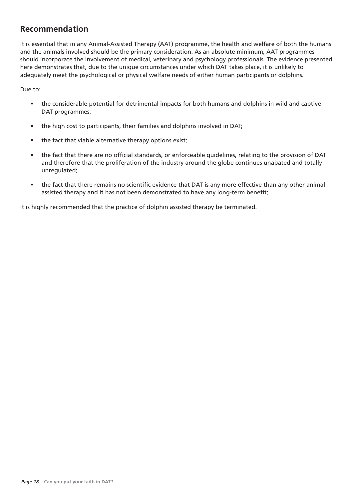# **Recommendation**

It is essential that in any Animal-Assisted Therapy (AAT) programme, the health and welfare of both the humans and the animals involved should be the primary consideration. As an absolute minimum, AAT programmes should incorporate the involvement of medical, veterinary and psychology professionals. The evidence presented here demonstrates that, due to the unique circumstances under which DAT takes place, it is unlikely to adequately meet the psychological or physical welfare needs of either human participants or dolphins.

Due to:

- the considerable potential for detrimental impacts for both humans and dolphins in wild and captive DAT programmes;
- the high cost to participants, their families and dolphins involved in DAT;
- the fact that viable alternative therapy options exist;
- the fact that there are no official standards, or enforceable guidelines, relating to the provision of DAT and therefore that the proliferation of the industry around the globe continues unabated and totally unregulated;
- the fact that there remains no scientific evidence that DAT is any more effective than any other animal assisted therapy and it has not been demonstrated to have any long-term benefit;

it is highly recommended that the practice of dolphin assisted therapy be terminated.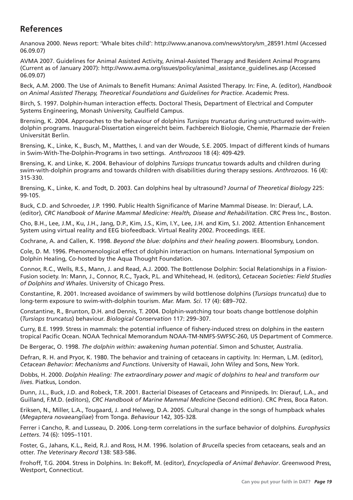# **References**

Ananova 2000. News report: 'Whale bites child': http://www.ananova.com/news/story/sm\_28591.html (Accessed 06.09.07)

AVMA 2007. Guidelines for Animal Assisted Activity, Animal-Assisted Therapy and Resident Animal Programs (Current as of January 2007): http://www.avma.org/issues/policy/animal\_assistance\_guidelines.asp (Accessed 06.09.07)

Beck, A.M. 2000. The Use of Animals to Benefit Humans: Animal Assisted Therapy. In: Fine, A. (editor), *Handbook on Animal Assisted Therapy, Theoretical Foundations and Guidelines for Practice*. Academic Press.

Birch, S. 1997. Dolphin-human interaction effects. Doctoral Thesis, Department of Electrical and Computer Systems Engineering, Monash University, Caulfield Campus.

Brensing, K. 2004. Approaches to the behaviour of dolphins *Tursiops truncatus* during unstructured swim-withdolphin programs. Inaugural-Dissertation eingereicht beim. Fachbereich Biologie, Chemie, Pharmazie der Freien Universität Berlin.

Brensing, K., Linke, K., Busch, M., Matthes, I. and van der Woude, S.E. 2005. Impact of different kinds of humans in Swim-With-The-Dolphin-Programs in two settings. *Anthrozoos* 18 (4): 409-429.

Brensing, K. and Linke, K. 2004. Behaviour of dolphins *Tursiops truncatus* towards adults and children during swim-with-dolphin programs and towards children with disabilities during therapy sessions. *Anthrozoos*. 16 (4): 315-330.

Brensing, K., Linke, K. and Todt, D. 2003. Can dolphins heal by ultrasound? *Journal of Theoretical Biology* 225: 99-105.

Buck, C.D. and Schroeder, J.P. 1990. Public Health Significance of Marine Mammal Disease. In: Dierauf, L.A. (editor), *CRC Handbook of Marine Mammal Medicine: Health, Disease and Rehabilitation*. CRC Press Inc., Boston.

Cho, B.H., Lee, J.M., Ku, J.H., Jang, D.P., Kim, J.S., Kim, I.Y., Lee, J.H. and Kim, S.I. 2002. Attention Enhancement System using virtual reality and EEG biofeedback. Virtual Reality 2002. Proceedings. IEEE.

Cochrane, A. and Callen, K. 1998. *Beyond the blue: dolphins and their healing powers*. Bloomsbury, London.

Cole, D. M. 1996. Phenomenological effect of dolphin interaction on humans. International Symposium on Dolphin Healing, Co-hosted by the Aqua Thought Foundation.

Connor, R.C., Wells, R.S., Mann, J. and Read, A.J. 2000. The Bottlenose Dolphin: Social Relationships in a Fission-Fusion society. In: Mann, J., Connor, R.C., Tyack, P.L. and Whitehead, H. (editors), *Cetacean Societies: Field Studies of Dolphins and Whales*. University of Chicago Press.

Constantine, R. 2001. Increased avoidance of swimmers by wild bottlenose dolphins (*Tursiops truncatus*) due to long-term exposure to swim-with-dolphin tourism. *Mar. Mam. Sci*. 17 (4): 689–702.

Constantine, R., Brunton, D.H. and Dennis, T. 2004. Dolphin-watching tour boats change bottlenose dolphin (*Tursiops truncatus*) behaviour. *Biological Conservation* 117: 299–307.

Curry, B.E. 1999. Stress in mammals: the potential influence of fishery-induced stress on dolphins in the eastern tropical Pacific Ocean. NOAA Technical Memorandum NOAA-TM-NMFS-SWFSC-260, US Department of Commerce.

De Bergerac, O. 1998. *The dolphin within: awakening human potential*. Simon and Schuster, Australia.

Defran, R. H. and Pryor, K. 1980. The behavior and training of cetaceans in captivity. In: Herman, L.M. (editor), *Cetacean Behavior: Mechanisms and Functions*. University of Hawaii, John Wiley and Sons, New York.

Dobbs, H. 2000. *Dolphin Healing: The extraordinary power and magic of dolphins to heal and transform our lives*. Piatkus, London.

Dunn, J.L., Buck, J.D. and Robeck, T.R. 2001. Bacterial Diseases of Cetaceans and Pinnipeds. In: Dierauf, L.A., and Guilland, F.M.D. (editors), *CRC Handbook of Marine Mammal Medicine* (Second edition). CRC Press, Boca Raton.

Eriksen, N., Miller, L.A., Tougaard, J. and Helweg, D.A. 2005. Cultural change in the songs of humpback whales (*Megaptera novaeangliae*) from Tonga. *Behaviour* 142, 305-328*.*

Ferrer i Cancho, R. and Lusseau, D. 2006. Long-term correlations in the surface behavior of dolphins. *Europhysics Letters*. 74 (6): 1095–1101.

Foster, G., Jahans, K.L., Reid, R.J. and Ross, H.M. 1996. Isolation of *Brucella* species from cetaceans, seals and an otter. *The Veterinary Record* 138: 583-586.

Frohoff, T.G. 2004. Stress in Dolphins. In: Bekoff, M. (editor), *Encyclopedia of Animal Behavior*. Greenwood Press, Westport, Connecticut.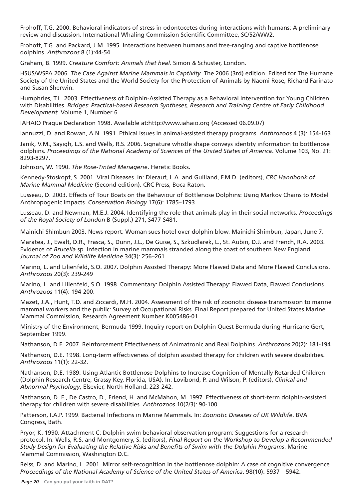Frohoff, T.G. 2000. Behavioral indicators of stress in odontocetes during interactions with humans: A preliminary review and discussion. International Whaling Commission Scientific Committee, SC/52/WW2.

Frohoff, T.G. and Packard, J.M. 1995. Interactions between humans and free-ranging and captive bottlenose dolphins. *Anthrozoos* 8 (1):44-54.

Graham, B. 1999. *Creature Comfort: Animals that heal*. Simon & Schuster, London.

HSUS/WSPA 2006. *The Case Against Marine Mammals in Captivity*. The 2006 (3rd) edition. Edited for The Humane Society of the United States and the World Society for the Protection of Animals by Naomi Rose, Richard Farinato and Susan Sherwin.

Humphries, T.L. 2003. Effectiveness of Dolphin-Assisted Therapy as a Behavioral Intervention for Young Children with Disabilities. *Bridges: Practical-based Research Syntheses, Research and Training Centre of Early Childhood Development*. Volume 1, Number 6.

IAHAIO Prague Declaration 1998. Available at:http://www.iahaio.org (Accessed 06.09.07)

Iannuzzi, D. and Rowan, A.N. 1991. Ethical issues in animal-assisted therapy programs. *Anthrozoos* 4 (3): 154-163.

Janik, V.M., Sayigh, L.S. and Wells, R.S. 2006. Signature whistle shape conveys identity information to bottlenose dolphins. *Proceedings of the National Academy of Sciences of the United States of America*. Volume 103, No. 21: 8293-8297.

Johnson, W. 1990. *The Rose-Tinted Menagerie*. Heretic Books.

Kennedy-Stoskopf, S. 2001. Viral Diseases. In: Dierauf, L.A. and Guilland, F.M.D. (editors), *CRC Handbook of Marine Mammal Medicine* (Second edition). CRC Press, Boca Raton.

Lusseau, D. 2003. Effects of Tour Boats on the Behaviour of Bottlenose Dolphins: Using Markov Chains to Model Anthropogenic Impacts. *Conservation Biology* 17(6): 1785–1793.

Lusseau, D. and Newman, M.E.J. 2004. Identifying the role that animals play in their social networks. *Proceedings of the Royal Society of London* B (Suppl.) 271, S477-S481.

Mainichi Shimbun 2003. News report: Woman sues hotel over dolphin blow. Mainichi Shimbun, Japan, June 7.

Maratea, J., Ewalt, D.R., Frasca, S., Dunn, J.L., De Guise, S., Szkudlarek, L., St. Aubin, D.J. and French, R.A. 2003. Evidence of *Brucella* sp. infection in marine mammals stranded along the coast of southern New England. *Journal of Zoo and Wildlife Medicine* 34(3): 256–261.

Marino, L. and Lilienfeld, S.O. 2007. Dolphin Assisted Therapy: More Flawed Data and More Flawed Conclusions. *Anthrozoos* 20(3): 239-249

Marino, L. and Lilienfeld, S.O. 1998. Commentary: Dolphin Assisted Therapy: Flawed Data, Flawed Conclusions. *Anthrozoos* 11(4): 194-200.

Mazet, J.A., Hunt, T.D. and Ziccardi, M.H. 2004. Assessment of the risk of zoonotic disease transmission to marine mammal workers and the public: Survey of Occupational Risks. Final Report prepared for United States Marine Mammal Commission, Research Agreement Number K005486-01.

Ministry of the Environment, Bermuda 1999. Inquiry report on Dolphin Quest Bermuda during Hurricane Gert, September 1999.

Nathanson, D.E. 2007. Reinforcement Effectiveness of Animatronic and Real Dolphins. *Anthrozoos* 20(2): 181-194.

Nathanson, D.E. 1998. Long-term effectiveness of dolphin assisted therapy for children with severe disabilities. *Anthrozoos* 11(1): 22-32.

Nathanson, D.E. 1989. Using Atlantic Bottlenose Dolphins to Increase Cognition of Mentally Retarded Children (Dolphin Research Centre, Grassy Key, Florida, USA). In: Lovibond, P. and Wilson, P. (editors), *Clinical and Abnormal Psychology*, Elsevier, North Holland: 223-242.

Nathanson, D. E., De Castro, D., Friend, H. and McMahon, M. 1997. Effectiveness of short-term dolphin-assisted therapy for children with severe disabilities. *Anthrozoos* 10(2/3): 90-100.

Patterson, I.A.P. 1999. Bacterial Infections in Marine Mammals. In: *Zoonotic Diseases of UK Wildlife*. BVA Congress, Bath.

Pryor, K. 1990. Attachment C: Dolphin-swim behavioral observation program: Suggestions for a research protocol. In: Wells, R.S. and Montgomery, S. (editors), *Final Report on the Workshop to Develop a Recommended Study Design for Evaluating the Relative Risks and Benefi ts of Swim-with-the-Dolphin Programs*. Marine Mammal Commission, Washington D.C.

Reiss, D. and Marino, L. 2001. Mirror self-recognition in the bottlenose dolphin: A case of cognitive convergence. *Proceedings of the National Academy of Science of the United States of America*. 98(10): 5937 – 5942.